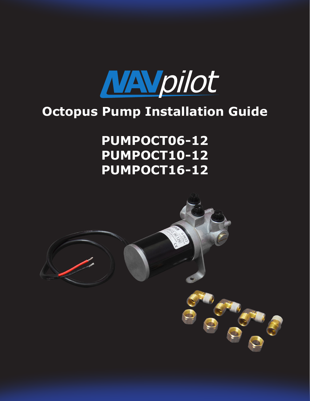

# **Octopus Pump Installation Guide**

# **PUMPOCT06-12 PUMPOCT10-12 PUMPOCT16-12**

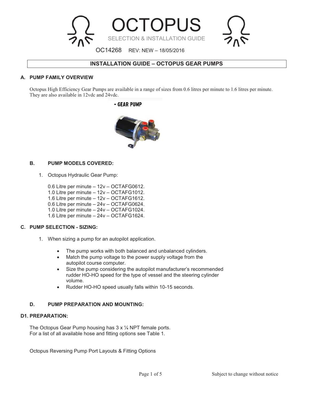

# **INSTALLATION GUIDE – OCTOPUS GEAR PUMPS**

### **A. PUMP FAMILY OVERVIEW**

Octopus High Efficiency Gear Pumps are available in a range of sizes from 0.6 litres per minute to 1.6 litres per minute. They are also available in 12vdc and 24vdc.

# - GEAR PUMP



### **B. PUMP MODELS COVERED:**

1. Octopus Hydraulic Gear Pump:

0.6 Litre per minute – 12v – OCTAFG0612.

- 1.0 Litre per minute 12v OCTAFG1012.
- 1.6 Litre per minute 12v OCTAFG1612.
- 0.6 Litre per minute 24v OCTAFG0624.
- 1.0 Litre per minute 24v OCTAFG1024.
- 1.6 Litre per minute 24v OCTAFG1624.

### **C. PUMP SELECTION - SIZING:**

- 1. When sizing a pump for an autopilot application.
	- The pump works with both balanced and unbalanced cylinders.
	- Match the pump voltage to the power supply voltage from the autopilot course computer.
	- Size the pump considering the autopilot manufacturer's recommended rudder HO-HO speed for the type of vessel and the steering cylinder volume.
	- Rudder HO-HO speed usually falls within 10-15 seconds.

## **D. PUMP PREPARATION AND MOUNTING:**

# **D1. PREPARATION:**

The Octopus Gear Pump housing has  $3 \times \frac{1}{4}$  NPT female ports. For a list of all available hose and fitting options see Table 1.

Octopus Reversing Pump Port Layouts & Fitting Options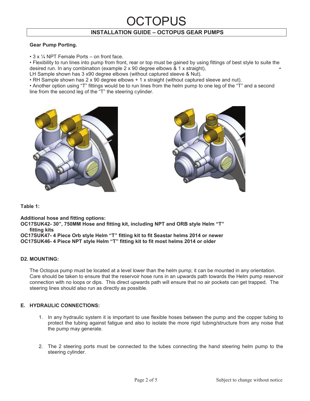# LOPUS **INSTALLATION GUIDE – OCTOPUS GEAR PUMPS**

# **Gear Pump Porting.**

 $\cdot$  3 x  $\frac{1}{4}$  NPT Female Ports – on front face.

• Flexibility to run lines into pump from front, rear or top must be gained by using fittings of best style to suite the desired run. In any combination (example  $2 \times 90$  degree elbows  $\& 1 \times$  straight),

LH Sample shown has 3 x90 degree elbows (without captured sleeve & Nut).

• RH Sample shown has 2 x 90 degree elbows + 1 x straight (without captured sleeve and nut).

• Another option using "T" fittings would be to run lines from the helm pump to one leg of the "T" and a second line from the second leg of the "T" the steering cylinder.





**Table 1:** 

**Additional hose and fitting options:** 

**OC17SUK42- 30", 750MM Hose and fitting kit, including NPT and ORB style Helm "T" fitting kits** 

**OC17SUK47- 4 Piece Orb style Helm "T" fitting kit to fit Seastar helms 2014 or newer OC17SUK46- 4 Piece NPT style Helm "T" fitting kit to fit most helms 2014 or older**

# **D2. MOUNTING:**

The Octopus pump must be located at a level lower than the helm pump; it can be mounted in any orientation. Care should be taken to ensure that the reservoir hose runs in an upwards path towards the Helm pump reservoir connection with no loops or dips. This direct upwards path will ensure that no air pockets can get trapped. The steering lines should also run as directly as possible.

# **E. HYDRAULIC CONNECTIONS:**

- 1. In any hydraulic system it is important to use flexible hoses between the pump and the copper tubing to protect the tubing against fatigue and also to isolate the more rigid tubing/structure from any noise that the pump may generate.
- 2. The 2 steering ports must be connected to the tubes connecting the hand steering helm pump to the steering cylinder.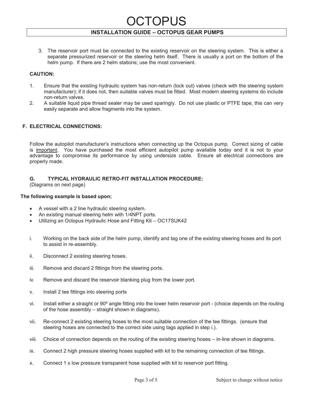# TOPUS

# **INSTALLATION GUIDE – OCTOPUS GEAR PUMPS**

3. The reservoir port must be connected to the existing reservoir on the steering system. This is either a separate pressurized reservoir or the steering helm itself. There is usually a port on the bottom of the helm pump. If there are 2 helm stations; use the most convenient.

### **CAUTION:**

- 1. Ensure that the existing hydraulic system has non-return (lock out) valves (check with the steering system manufacturer); if it does not, then suitable valves must be fitted. Most modern steering systems do include non-return valves.
- 2. A suitable liquid pipe thread sealer may be used sparingly. Do not use plastic or PTFE tape, this can very easily separate and allow fragments into the system.

## **F. ELECTRICAL CONNECTIONS:**

Follow the autopilot manufacturer's instructions when connecting up the Octopus pump. Correct sizing of cable is important. You have purchased the most efficient autopilot pump available today and it is not to your advantage to compromise its performance by using undersize cable. Ensure all electrical connections are properly made.

# **G. TYPICAL HYDRAULIC RETRO-FIT INSTALLATION PROCEDURE:**

(Diagrams on next page)

### **The following example is based upon;**

- · A vessel with a 2 line hydraulic steering system.
- An existing manual steering helm with 1/4NPT ports.
- · Utilizing an Octopus Hydraulic Hose and Fitting Kit OC17SUK42
- i. Working on the back side of the helm pump, identify and tag one of the existing steering hoses and its port to assist in re-assembly.
- ii. Disconnect 2 existing steering hoses.
- iii. Remove and discard 2 fittings from the steering ports.
- iv. Remove and discard the reservoir blanking plug from the lower port.
- v. Install 2 tee fittings into steering ports
- vi. Install either a straight or 90º angle fitting into the lower helm reservoir port (choice depends on the routing of the hose assembly – straight shown in diagrams).
- vii. Re-connect 2 existing steering hoses to the most suitable connection of the tee fittings. (ensure that steering hoses are connected to the correct side using tags applied in step i.).
- viii. Choice of connection depends on the routing of the existing steering hoses in-line shown in diagrams.
- ix. Connect 2 high pressure steering hoses supplied with kit to the remaining connection of tee fittings.
- x. Connect 1 x low pressure transparent hose supplied with kit to reservoir port fitting.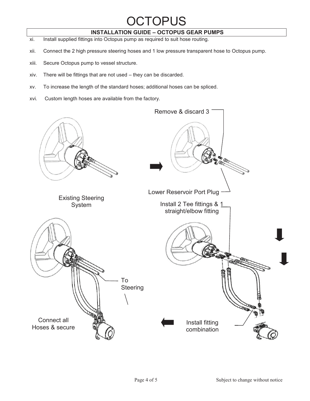# **DCTOPUS**

# **INSTALLATION GUIDE – OCTOPUS GEAR PUMPS**

- xi. Install supplied fittings into Octopus pump as required to suit hose routing.
- xii. Connect the 2 high pressure steering hoses and 1 low pressure transparent hose to Octopus pump.
- xiii. Secure Octopus pump to vessel structure.
- xiv. There will be fittings that are not used they can be discarded.
- xv. To increase the length of the standard hoses; additional hoses can be spliced.
- xvi. Custom length hoses are available from the factory.